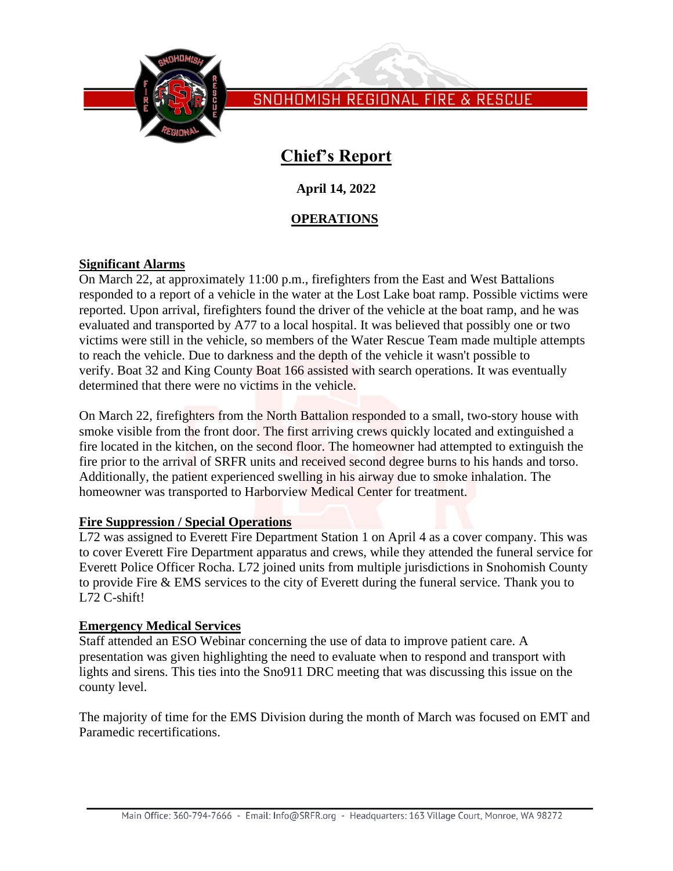

# **Chief's Report**

**April 14, 2022**

# **OPERATIONS**

### **Significant Alarms**

On March 22, at approximately 11:00 p.m., firefighters from the East and West Battalions responded to a report of a vehicle in the water at the Lost Lake boat ramp. Possible victims were reported. Upon arrival, firefighters found the driver of the vehicle at the boat ramp, and he was evaluated and transported by A77 to a local hospital. It was believed that possibly one or two victims were still in the vehicle, so members of the Water Rescue Team made multiple attempts to reach the vehicle. Due to darkness and the depth of the vehicle it wasn't possible to verify. Boat 32 and King County Boat 166 assisted with search operations. It was eventually determined that there were no victims in the vehicle.

On March 22, firefighters from the North Battalion responded to a small, two-story house with smoke visible from the front door. The first arriving crews quickly located and extinguished a fire located in the kitchen, on the second floor. The homeowner had attempted to extinguish the fire prior to the arrival of SRFR units and received second degree burns to his hands and torso. Additionally, the patient experienced swelling in his airway due to smoke inhalation. The homeowner was transported to Harborview Medical Center for treatment.

### **Fire Suppression / Special Operations**

L72 was assigned to Everett Fire Department Station 1 on April 4 as a cover company. This was to cover Everett Fire Department apparatus and crews, while they attended the funeral service for Everett Police Officer Rocha. L72 joined units from multiple jurisdictions in Snohomish County to provide Fire & EMS services to the city of Everett during the funeral service. Thank you to L72 C-shift!

### **Emergency Medical Services**

Staff attended an ESO Webinar concerning the use of data to improve patient care. A presentation was given highlighting the need to evaluate when to respond and transport with lights and sirens. This ties into the Sno911 DRC meeting that was discussing this issue on the county level.

The majority of time for the EMS Division during the month of March was focused on EMT and Paramedic recertifications.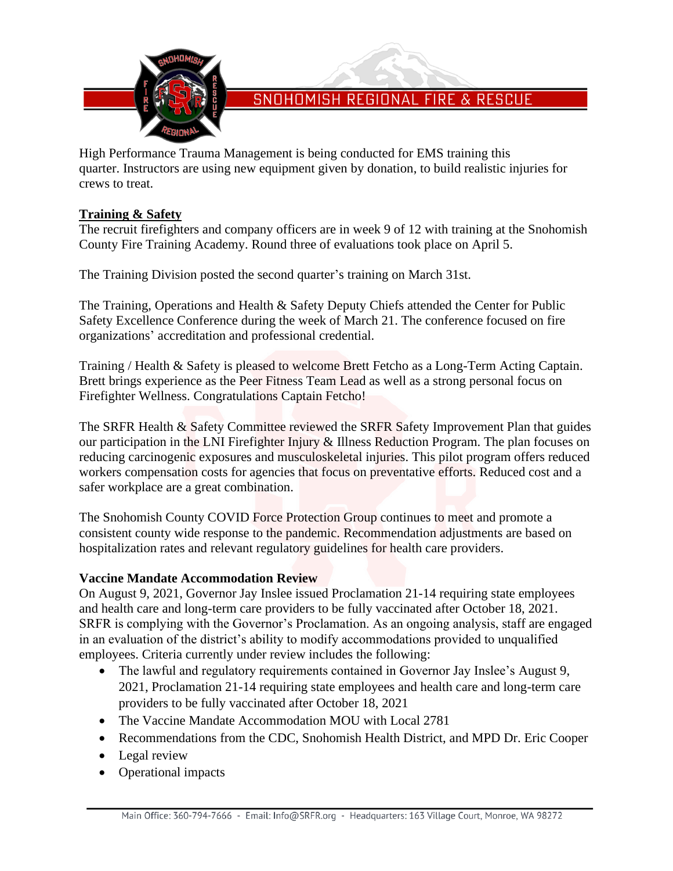

High Performance Trauma Management is being conducted for EMS training this quarter. Instructors are using new equipment given by donation, to build realistic injuries for crews to treat.

### **Training & Safety**

The recruit firefighters and company officers are in week 9 of 12 with training at the Snohomish County Fire Training Academy. Round three of evaluations took place on April 5.

The Training Division posted the second quarter's training on March 31st.

The Training, Operations and Health & Safety Deputy Chiefs attended the Center for Public Safety Excellence Conference during the week of March 21. The conference focused on fire organizations' accreditation and professional credential.

Training / Health & Safety is pleased to welcome Brett Fetcho as a Long-Term Acting Captain. Brett brings experience as the Peer Fitness Team Lead as well as a strong personal focus on Firefighter Wellness. Congratulations Captain Fetcho!

The SRFR Health & Safety Committee reviewed the SRFR Safety Improvement Plan that guides our participation in the LNI Firefighter Injury & Illness Reduction Program. The plan focuses on reducing carcinogenic exposures and musculoskeletal injuries. This pilot program offers reduced workers compensation costs for agencies that focus on preventative efforts. Reduced cost and a safer workplace are a great combination.

The Snohomish County COVID Force Protection Group continues to meet and promote a consistent county wide response to the pandemic. Recommendation adjustments are based on hospitalization rates and relevant regulatory guidelines for health care providers.

# **Vaccine Mandate Accommodation Review**

On August 9, 2021, Governor Jay Inslee issued Proclamation 21-14 requiring state employees and health care and long-term care providers to be fully vaccinated after October 18, 2021. SRFR is complying with the Governor's Proclamation. As an ongoing analysis, staff are engaged in an evaluation of the district's ability to modify accommodations provided to unqualified employees. Criteria currently under review includes the following:

- The lawful and regulatory requirements contained in Governor Jay Inslee's August 9, 2021, Proclamation 21-14 requiring state employees and health care and long-term care providers to be fully vaccinated after October 18, 2021
- The Vaccine Mandate Accommodation MOU with Local 2781
- Recommendations from the CDC, Snohomish Health District, and MPD Dr. Eric Cooper
- Legal review
- Operational impacts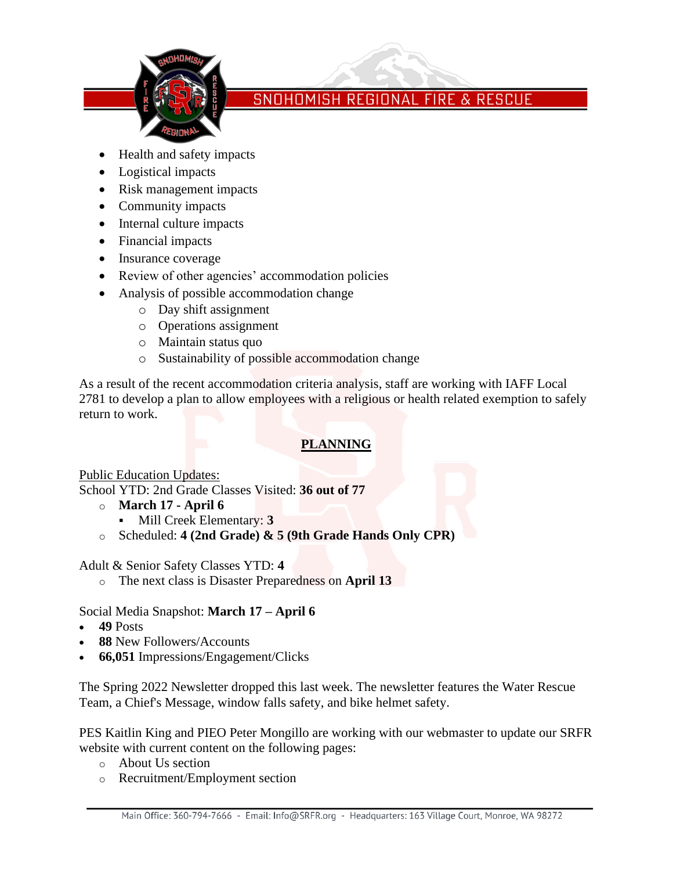

- Health and safety impacts
- Logistical impacts
- Risk management impacts
- Community impacts
- Internal culture impacts
- Financial impacts
- Insurance coverage
- Review of other agencies' accommodation policies
- Analysis of possible accommodation change
	- o Day shift assignment
	- o Operations assignment
	- o Maintain status quo
	- o Sustainability of possible accommodation change

As a result of the recent accommodation criteria analysis, staff are working with IAFF Local 2781 to develop a plan to allow employees with a religious or health related exemption to safely return to work.

# **PLANNING**

Public Education Updates:

School YTD: 2nd Grade Classes Visited: **36 out of 77**

- o **March 17 - April 6**
	- Mill Creek Elementary: **3**
- o Scheduled: **4 (2nd Grade) & 5 (9th Grade Hands Only CPR)**

Adult & Senior Safety Classes YTD: **4**

o The next class is Disaster Preparedness on **April 13**

### Social Media Snapshot: **March 17 – April 6**

- **49** Posts
- **88** New Followers/Accounts
- **66,051** Impressions/Engagement/Clicks

The Spring 2022 Newsletter dropped this last week. The newsletter features the Water Rescue Team, a Chief's Message, window falls safety, and bike helmet safety.

PES Kaitlin King and PIEO Peter Mongillo are working with our webmaster to update our SRFR website with current content on the following pages:

- o About Us section
- o Recruitment/Employment section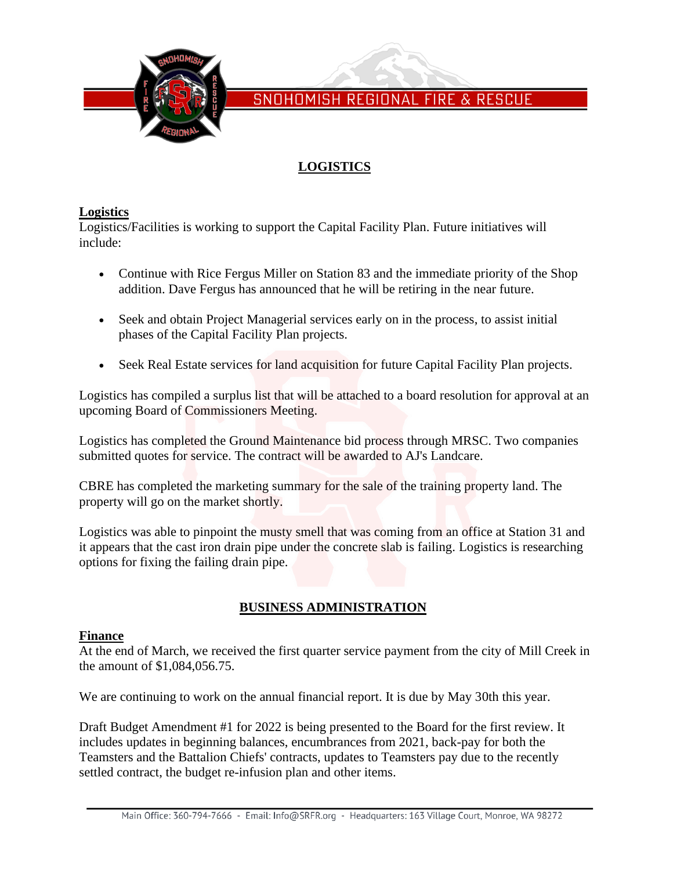

# **LOGISTICS**

### **Logistics**

Logistics/Facilities is working to support the Capital Facility Plan. Future initiatives will include:

- Continue with Rice Fergus Miller on Station 83 and the immediate priority of the Shop addition. Dave Fergus has announced that he will be retiring in the near future.
- Seek and obtain Project Managerial services early on in the process, to assist initial phases of the Capital Facility Plan projects.
- Seek Real Estate services for land acquisition for future Capital Facility Plan projects.

Logistics has compiled a surplus list that will be attached to a board resolution for approval at an upcoming Board of Commissioners Meeting.

Logistics has completed the Ground Maintenance bid process through MRSC. Two companies submitted quotes for service. The contract will be awarded to AJ's Landcare.

CBRE has completed the marketing summary for the sale of the training property land. The property will go on the market shortly.

Logistics was able to pinpoint the musty smell that was coming from an office at Station 31 and it appears that the cast iron drain pipe under the concrete slab is failing. Logistics is researching options for fixing the failing drain pipe.

# **BUSINESS ADMINISTRATION**

### **Finance**

At the end of March, we received the first quarter service payment from the city of Mill Creek in the amount of \$1,084,056.75.

We are continuing to work on the annual financial report. It is due by May 30th this year.

Draft Budget Amendment #1 for 2022 is being presented to the Board for the first review. It includes updates in beginning balances, encumbrances from 2021, back-pay for both the Teamsters and the Battalion Chiefs' contracts, updates to Teamsters pay due to the recently settled contract, the budget re-infusion plan and other items.